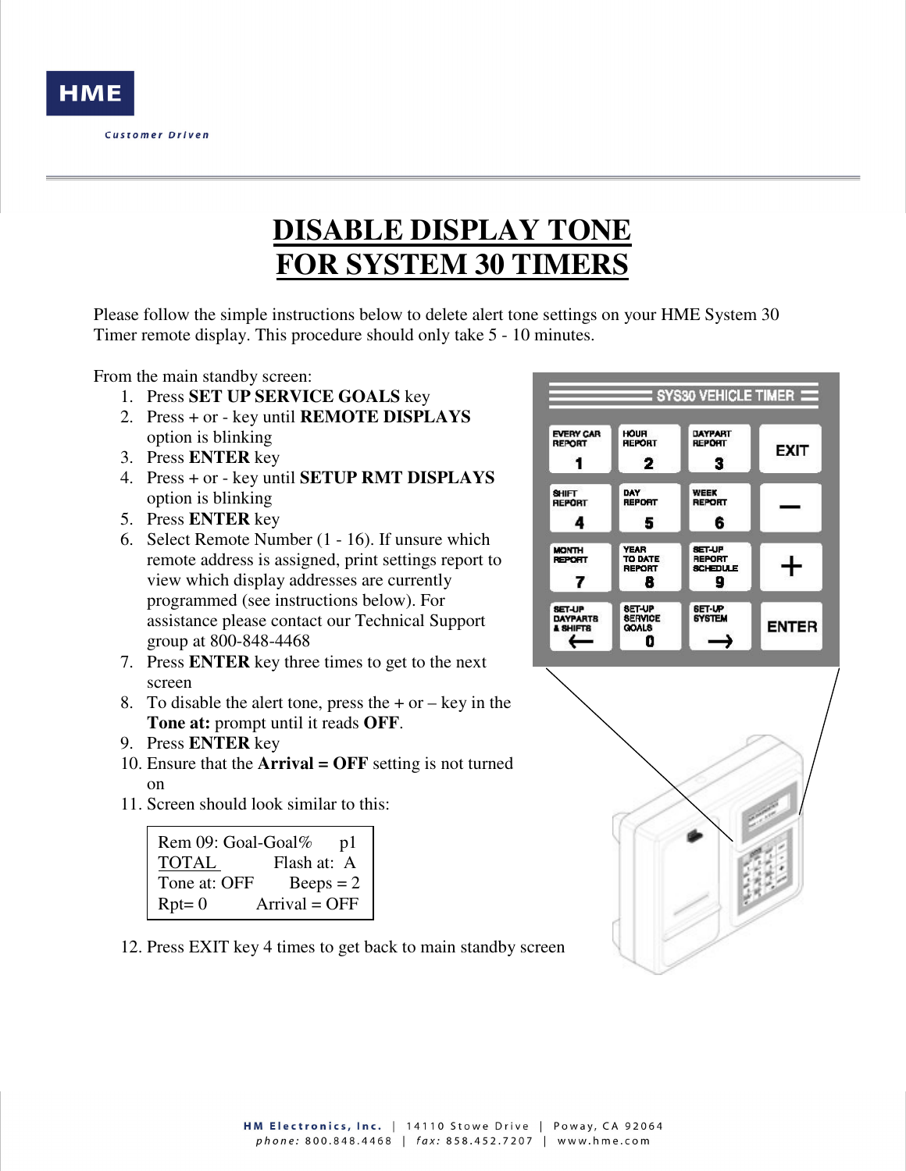

## **DISABLE DISPLAY TONE FOR SYSTEM 30 TIMERS**

Please follow the simple instructions below to delete alert tone settings on your HME System 30 Timer remote display. This procedure should only take 5 - 10 minutes.

From the main standby screen:

- 1. Press **SET UP SERVICE GOALS** key
- 2. Press + or key until **REMOTE DISPLAYS** option is blinking
- 3. Press **ENTER** key
- 4. Press + or key until **SETUP RMT DISPLAYS** option is blinking
- 5. Press **ENTER** key
- 6. Select Remote Number (1 16). If unsure which remote address is assigned, print settings report to view which display addresses are currently programmed (see instructions below). For assistance please contact our Technical Support group at 800-848-4468
- 7. Press **ENTER** key three times to get to the next screen
- 8. To disable the alert tone, press the  $+$  or  $-$  key in the **Tone at:** prompt until it reads **OFF**.
- 9. Press **ENTER** key
- 10. Ensure that the **Arrival = OFF** setting is not turned on
- 11. Screen should look similar to this:

| Rem 09: Goal-Goal% | pl              |
|--------------------|-----------------|
| <b>TOTAL</b>       | Flash at: A     |
| Tone at: OFF       | $Beeps = 2$     |
| $Rpt = 0$          | $Arrival = OFF$ |

12. Press EXIT key 4 times to get back to main standby screen